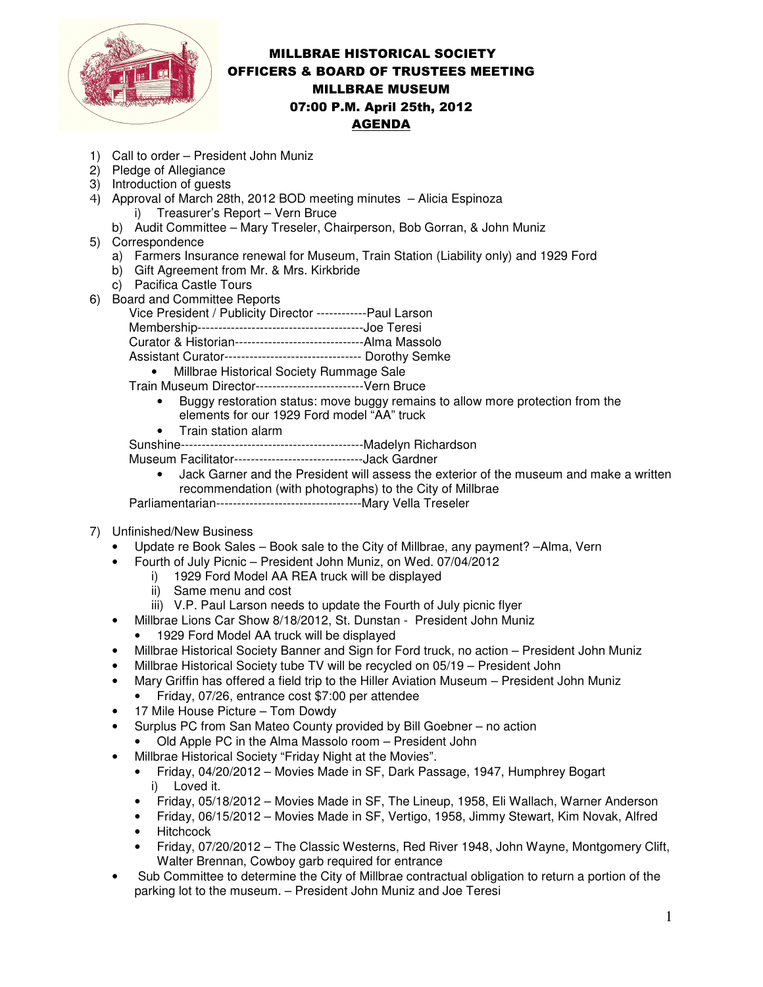

## MILLBRAE HISTORICAL SOCIETY OFFICERS & BOARD OF TRUSTEES MEETING MILLBRAE MUSEUM 07:00 P.M. April 25th, 2012 AGENDA

- 1) Call to order President John Muniz
- 2) Pledge of Allegiance
- 3) Introduction of guests
- 4) Approval of March 28th, 2012 BOD meeting minutes Alicia Espinoza i) Treasurer's Report – Vern Bruce
	- b) Audit Committee Mary Treseler, Chairperson, Bob Gorran, & John Muniz
- 5) Correspondence
	- a) Farmers Insurance renewal for Museum, Train Station (Liability only) and 1929 Ford
	- b) Gift Agreement from Mr. & Mrs. Kirkbride
	- c) Pacifica Castle Tours
- 6) Board and Committee Reports

Vice President / Publicity Director ------------Paul Larson

Membership----------------------------------------Joe Teresi

Curator & Historian-------------------------------Alma Massolo

Assistant Curator--------------------------------- Dorothy Semke

• Millbrae Historical Society Rummage Sale

Train Museum Director--------------------------Vern Bruce

- Buggy restoration status: move buggy remains to allow more protection from the elements for our 1929 Ford model "AA" truck
- Train station alarm

Sunshine--------------------------------------------Madelyn Richardson

Museum Facilitator-------------------------------Jack Gardner

- Jack Garner and the President will assess the exterior of the museum and make a written recommendation (with photographs) to the City of Millbrae
- Parliamentarian-----------------------------------Mary Vella Treseler
- 7) Unfinished/New Business
	- Update re Book Sales Book sale to the City of Millbrae, any payment? –Alma, Vern
	- Fourth of July Picnic President John Muniz, on Wed. 07/04/2012
		- i) 1929 Ford Model AA REA truck will be displayed
		- ii) Same menu and cost
		- iii) V.P. Paul Larson needs to update the Fourth of July picnic flyer
	- Millbrae Lions Car Show 8/18/2012, St. Dunstan President John Muniz
		- 1929 Ford Model AA truck will be displayed
	- Millbrae Historical Society Banner and Sign for Ford truck, no action President John Muniz
	- Millbrae Historical Society tube TV will be recycled on 05/19 President John
	- Mary Griffin has offered a field trip to the Hiller Aviation Museum President John Muniz
	- Friday, 07/26, entrance cost \$7:00 per attendee
	- 17 Mile House Picture Tom Dowdy
	- Surplus PC from San Mateo County provided by Bill Goebner no action
		- Old Apple PC in the Alma Massolo room President John
		- Millbrae Historical Society "Friday Night at the Movies".
		- Friday, 04/20/2012 Movies Made in SF, Dark Passage, 1947, Humphrey Bogart i) Loved it.
		- Friday, 05/18/2012 Movies Made in SF, The Lineup, 1958, Eli Wallach, Warner Anderson
		- Friday, 06/15/2012 Movies Made in SF, Vertigo, 1958, Jimmy Stewart, Kim Novak, Alfred
		- Hitchcock
		- Friday, 07/20/2012 The Classic Westerns, Red River 1948, John Wayne, Montgomery Clift, Walter Brennan, Cowboy garb required for entrance
	- Sub Committee to determine the City of Millbrae contractual obligation to return a portion of the parking lot to the museum. – President John Muniz and Joe Teresi